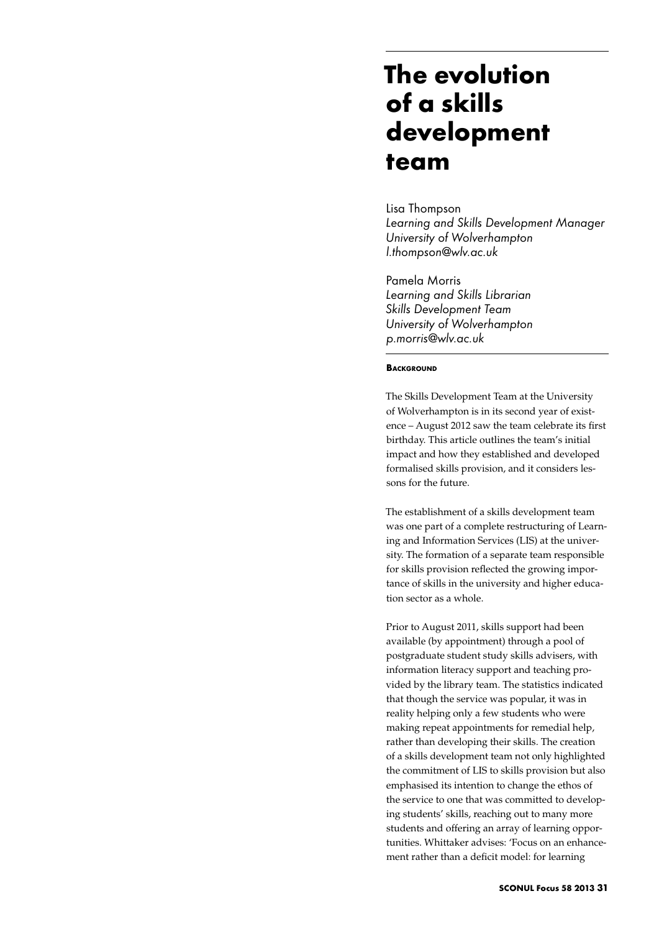# **The evolution of a skills development team**

Lisa Thompson *Learning and Skills Development Manager University of Wolverhampton l.thompson@wlv.ac.uk* 

Pamela Morris *Learning and Skills Librarian Skills Development Team University of Wolverhampton p.morris@wlv.ac.uk* 

# **BACKGROUND**

The Skills Development Team at the University of Wolverhampton is in its second year of existence – August 2012 saw the team celebrate its first birthday. This article outlines the team's initial impact and how they established and developed formalised skills provision, and it considers lessons for the future.

The establishment of a skills development team was one part of a complete restructuring of Learning and Information Services (LIS) at the university. The formation of a separate team responsible for skills provision reflected the growing importance of skills in the university and higher education sector as a whole.

Prior to August 2011, skills support had been available (by appointment) through a pool of postgraduate student study skills advisers, with information literacy support and teaching provided by the library team. The statistics indicated that though the service was popular, it was in reality helping only a few students who were making repeat appointments for remedial help, rather than developing their skills. The creation of a skills development team not only highlighted the commitment of LIS to skills provision but also emphasised its intention to change the ethos of the service to one that was committed to developing students' skills, reaching out to many more students and offering an array of learning opportunities. Whittaker advises: 'Focus on an enhancement rather than a deficit model: for learning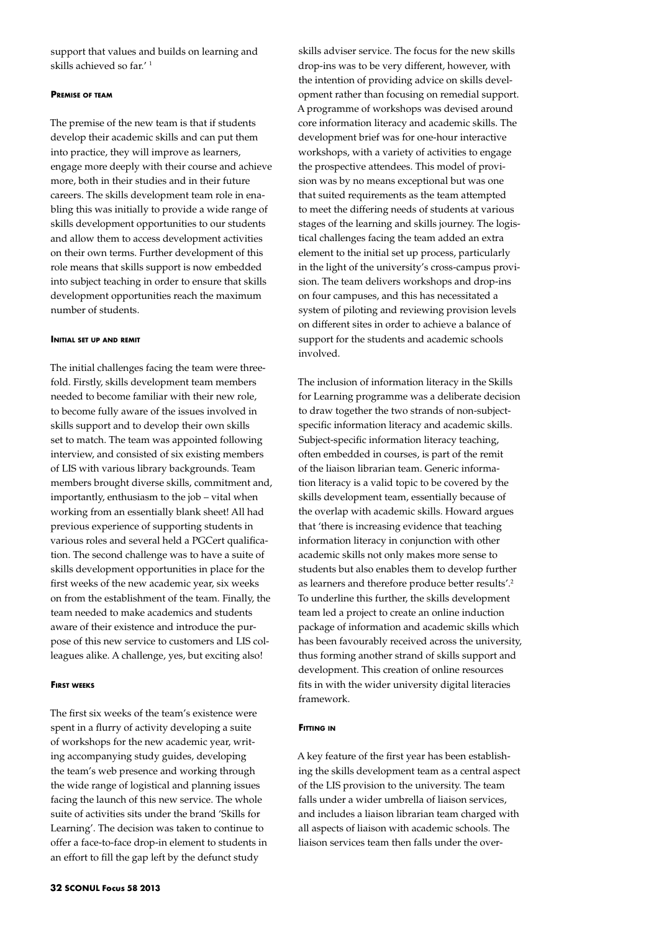support that values and builds on learning and skills achieved so far.' 1

# **Premise of team**

The premise of the new team is that if students develop their academic skills and can put them into practice, they will improve as learners, engage more deeply with their course and achieve more, both in their studies and in their future careers. The skills development team role in enabling this was initially to provide a wide range of skills development opportunities to our students and allow them to access development activities on their own terms. Further development of this role means that skills support is now embedded into subject teaching in order to ensure that skills development opportunities reach the maximum number of students.

### **Initial set up and remit**

The initial challenges facing the team were threefold. Firstly, skills development team members needed to become familiar with their new role, to become fully aware of the issues involved in skills support and to develop their own skills set to match. The team was appointed following interview, and consisted of six existing members of LIS with various library backgrounds. Team members brought diverse skills, commitment and, importantly, enthusiasm to the job – vital when working from an essentially blank sheet! All had previous experience of supporting students in various roles and several held a PGCert qualification. The second challenge was to have a suite of skills development opportunities in place for the first weeks of the new academic year, six weeks on from the establishment of the team. Finally, the team needed to make academics and students aware of their existence and introduce the purpose of this new service to customers and LIS colleagues alike. A challenge, yes, but exciting also!

# **First weeks**

The first six weeks of the team's existence were spent in a flurry of activity developing a suite of workshops for the new academic year, writing accompanying study guides, developing the team's web presence and working through the wide range of logistical and planning issues facing the launch of this new service. The whole suite of activities sits under the brand 'Skills for Learning'. The decision was taken to continue to offer a face-to-face drop-in element to students in an effort to fill the gap left by the defunct study

skills adviser service. The focus for the new skills drop-ins was to be very different, however, with the intention of providing advice on skills development rather than focusing on remedial support. A programme of workshops was devised around core information literacy and academic skills. The development brief was for one-hour interactive workshops, with a variety of activities to engage the prospective attendees. This model of provision was by no means exceptional but was one that suited requirements as the team attempted to meet the differing needs of students at various stages of the learning and skills journey. The logistical challenges facing the team added an extra element to the initial set up process, particularly in the light of the university's cross-campus provision. The team delivers workshops and drop-ins on four campuses, and this has necessitated a system of piloting and reviewing provision levels on different sites in order to achieve a balance of support for the students and academic schools involved.

The inclusion of information literacy in the Skills for Learning programme was a deliberate decision to draw together the two strands of non-subjectspecific information literacy and academic skills. Subject-specific information literacy teaching, often embedded in courses, is part of the remit of the liaison librarian team. Generic information literacy is a valid topic to be covered by the skills development team, essentially because of the overlap with academic skills. Howard argues that 'there is increasing evidence that teaching information literacy in conjunction with other academic skills not only makes more sense to students but also enables them to develop further as learners and therefore produce better results'.2 To underline this further, the skills development team led a project to create an online induction package of information and academic skills which has been favourably received across the university, thus forming another strand of skills support and development. This creation of online resources fits in with the wider university digital literacies framework.

#### **Fitting in**

A key feature of the first year has been establishing the skills development team as a central aspect of the LIS provision to the university. The team falls under a wider umbrella of liaison services, and includes a liaison librarian team charged with all aspects of liaison with academic schools. The liaison services team then falls under the over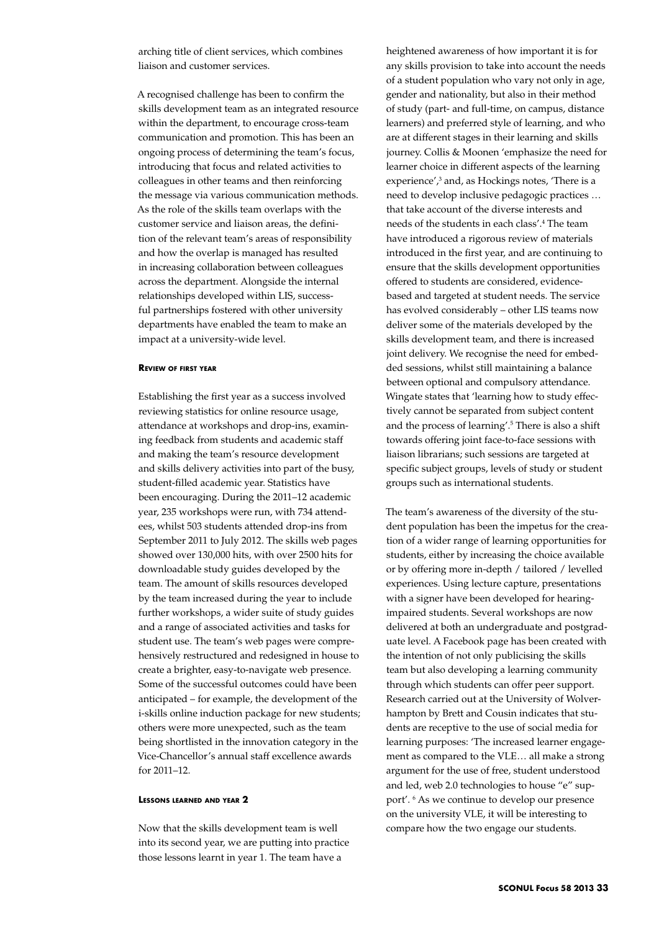arching title of client services, which combines liaison and customer services.

A recognised challenge has been to confirm the skills development team as an integrated resource within the department, to encourage cross-team communication and promotion. This has been an ongoing process of determining the team's focus, introducing that focus and related activities to colleagues in other teams and then reinforcing the message via various communication methods. As the role of the skills team overlaps with the customer service and liaison areas, the definition of the relevant team's areas of responsibility and how the overlap is managed has resulted in increasing collaboration between colleagues across the department. Alongside the internal relationships developed within LIS, successful partnerships fostered with other university departments have enabled the team to make an impact at a university-wide level.

# **Review of first year**

Establishing the first year as a success involved reviewing statistics for online resource usage, attendance at workshops and drop-ins, examining feedback from students and academic staff and making the team's resource development and skills delivery activities into part of the busy, student-filled academic year. Statistics have been encouraging. During the 2011–12 academic year, 235 workshops were run, with 734 attendees, whilst 503 students attended drop-ins from September 2011 to July 2012. The skills web pages showed over 130,000 hits, with over 2500 hits for downloadable study guides developed by the team. The amount of skills resources developed by the team increased during the year to include further workshops, a wider suite of study guides and a range of associated activities and tasks for student use. The team's web pages were comprehensively restructured and redesigned in house to create a brighter, easy-to-navigate web presence. Some of the successful outcomes could have been anticipated – for example, the development of the i-skills online induction package for new students; others were more unexpected, such as the team being shortlisted in the innovation category in the Vice-Chancellor's annual staff excellence awards for 2011–12.

#### **Lessons learned and year 2**

Now that the skills development team is well into its second year, we are putting into practice those lessons learnt in year 1. The team have a

heightened awareness of how important it is for any skills provision to take into account the needs of a student population who vary not only in age, gender and nationality, but also in their method of study (part- and full-time, on campus, distance learners) and preferred style of learning, and who are at different stages in their learning and skills journey. Collis & Moonen 'emphasize the need for learner choice in different aspects of the learning experience',<sup>3</sup> and, as Hockings notes, 'There is a need to develop inclusive pedagogic practices … that take account of the diverse interests and needs of the students in each class'.4 The team have introduced a rigorous review of materials introduced in the first year, and are continuing to ensure that the skills development opportunities offered to students are considered, evidencebased and targeted at student needs. The service has evolved considerably – other LIS teams now deliver some of the materials developed by the skills development team, and there is increased joint delivery. We recognise the need for embedded sessions, whilst still maintaining a balance between optional and compulsory attendance. Wingate states that 'learning how to study effectively cannot be separated from subject content and the process of learning'.<sup>5</sup> There is also a shift towards offering joint face-to-face sessions with liaison librarians; such sessions are targeted at specific subject groups, levels of study or student groups such as international students.

The team's awareness of the diversity of the student population has been the impetus for the creation of a wider range of learning opportunities for students, either by increasing the choice available or by offering more in-depth / tailored / levelled experiences. Using lecture capture, presentations with a signer have been developed for hearingimpaired students. Several workshops are now delivered at both an undergraduate and postgraduate level. A Facebook page has been created with the intention of not only publicising the skills team but also developing a learning community through which students can offer peer support. Research carried out at the University of Wolverhampton by Brett and Cousin indicates that students are receptive to the use of social media for learning purposes: 'The increased learner engagement as compared to the VLE… all make a strong argument for the use of free, student understood and led, web 2.0 technologies to house "e" support'. 6 As we continue to develop our presence on the university VLE, it will be interesting to compare how the two engage our students.